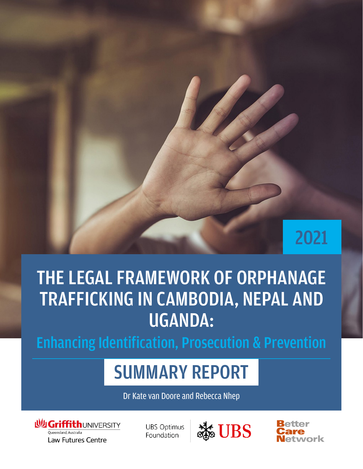# 2021

# THE LEGAL FRAMEWORK OF ORPHANAGE TRAFFICKING IN CAMBODIA, NEPAL AND UGANDA:

Enhancing Identification, Prosecution & Prevention

# SUMMARY REPORT

Dr Kate van Doore and Rebecca Nhep



**UBS Optimus** Foundation



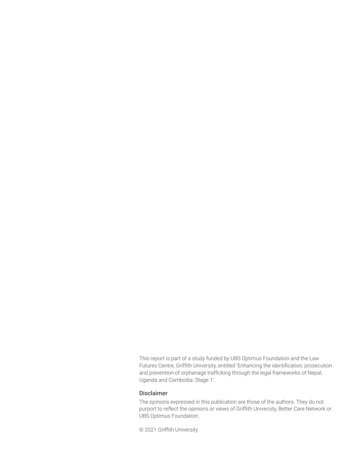This report is part of a study funded by UBS Optimus Foundation and the Law Futures Centre, Griffith University, entitled 'Enhancing the identification, prosecution and prevention of orphanage trafficking through the legal frameworks of Nepal, Uganda and Cambodia: Stage 1'.

#### Disclaimer

The opinions expressed in this publication are those of the authors. They do not purport to reflect the opinions or views of Griffith University, Better Care Network or UBS Optimus Foundation.

© 2021 Griffith University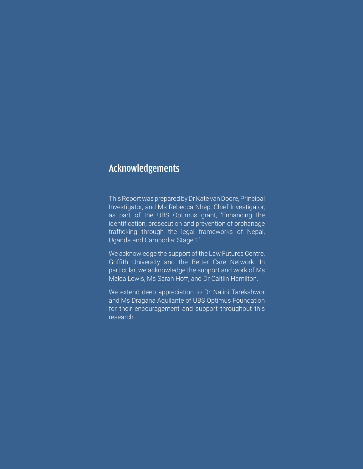### Acknowledgements

This Report was prepared by Dr Kate van Doore, Principal Investigator, and Ms Rebecca Nhep, Chief Investigator, as part of the UBS Optimus grant, 'Enhancing the identification, prosecution and prevention of orphanage trafficking through the legal frameworks of Nepal, Uganda and Cambodia: Stage 1'.

We acknowledge the support of the Law Futures Centre, Griffith University and the Better Care Network. In particular, we acknowledge the support and work of Ms Melea Lewis, Ms Sarah Hoff, and Dr Caitlin Hamilton.

We extend deep appreciation to Dr Nalini Tarekshwor and Ms Dragana Aquilante of UBS Optimus Foundation for their encouragement and support throughout this research.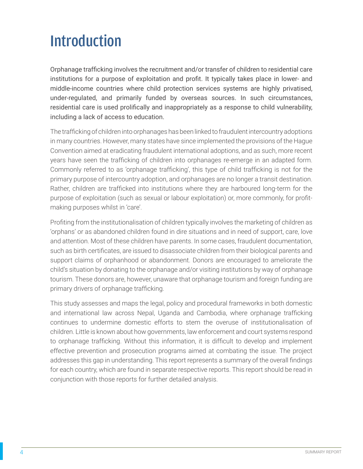## Introduction

Orphanage trafficking involves the recruitment and/or transfer of children to residential care institutions for a purpose of exploitation and profit. It typically takes place in lower- and middle-income countries where child protection services systems are highly privatised, under-regulated, and primarily funded by overseas sources. In such circumstances, residential care is used prolifically and inappropriately as a response to child vulnerability, including a lack of access to education.

The trafficking of children into orphanages has been linked to fraudulent intercountry adoptions in many countries. However, many states have since implemented the provisions of the Hague Convention aimed at eradicating fraudulent international adoptions, and as such, more recent years have seen the trafficking of children into orphanages re-emerge in an adapted form. Commonly referred to as 'orphanage trafficking', this type of child trafficking is not for the primary purpose of intercountry adoption, and orphanages are no longer a transit destination. Rather, children are trafficked into institutions where they are harboured long-term for the purpose of exploitation (such as sexual or labour exploitation) or, more commonly, for profitmaking purposes whilst in 'care'.

Profiting from the institutionalisation of children typically involves the marketing of children as 'orphans' or as abandoned children found in dire situations and in need of support, care, love and attention. Most of these children have parents. In some cases, fraudulent documentation, such as birth certificates, are issued to disassociate children from their biological parents and support claims of orphanhood or abandonment. Donors are encouraged to ameliorate the child's situation by donating to the orphanage and/or visiting institutions by way of orphanage tourism. These donors are, however, unaware that orphanage tourism and foreign funding are primary drivers of orphanage trafficking.

This study assesses and maps the legal, policy and procedural frameworks in both domestic and international law across Nepal, Uganda and Cambodia, where orphanage trafficking continues to undermine domestic efforts to stem the overuse of institutionalisation of children. Little is known about how governments, law enforcement and court systems respond to orphanage trafficking. Without this information, it is difficult to develop and implement effective prevention and prosecution programs aimed at combating the issue. The project addresses this gap in understanding. This report represents a summary of the overall findings for each country, which are found in separate respective reports. This report should be read in conjunction with those reports for further detailed analysis.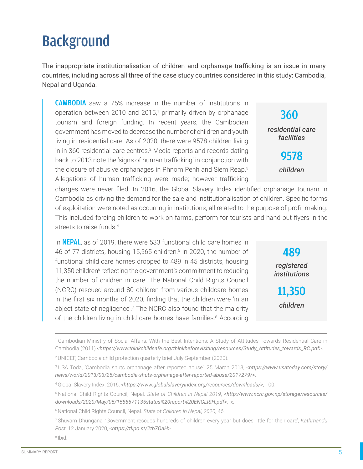### **Background**

The inappropriate institutionalisation of children and orphanage trafficking is an issue in many countries, including across all three of the case study countries considered in this study: Cambodia, Nepal and Uganda.

CAMBODIA saw a 75% increase in the number of institutions in operation between 2010 and 2015,<sup>1</sup> primarily driven by orphanage tourism and foreign funding. In recent years, the Cambodian government has moved to decrease the number of children and youth living in residential care. As of 2020, there were 9578 children living in in 360 residential care centres.<sup>2</sup> Media reports and records dating back to 2013 note the 'signs of human trafficking' in conjunction with the closure of abusive orphanages in Phnom Penh and Siem Reap.<sup>3</sup> Allegations of human trafficking were made; however trafficking

charges were never filed. In 2016, the Global Slavery Index identified orphanage tourism in Cambodia as driving the demand for the sale and institutionalisation of children. Specific forms of exploitation were noted as occurring in institutions, all related to the purpose of profit making. This included forcing children to work on farms, perform for tourists and hand out flyers in the streets to raise funds.<sup>4</sup>

In **NEPAL**, as of 2019, there were 533 functional child care homes in 46 of 77 districts, housing 15,565 children.<sup>5</sup> In 2020, the number of functional child care homes dropped to 489 in 45 districts, housing 11,350 children<sup>6</sup> reflecting the government's commitment to reducing the number of children in care. The National Child Rights Council (NCRC) rescued around 80 children from various childcare homes in the first six months of 2020, finding that the children were 'in an abject state of negligence'.<sup>7</sup> The NCRC also found that the majority of the children living in child care homes have families.<sup>8</sup> According

360 *residential care facilities* 9578

*children*

489

*registered institutions*

11,350

*children*



<sup>1</sup> Cambodian Ministry of Social Affairs, With the Best Intentions: A Study of Attitudes Towards Residential Care in Cambodia (2011) *[<https://www.thinkchildsafe.org/thinkbeforevisiting/resources/Study\\_Attitudes\\_towards\\_RC.pdf](https://www.thinkchildsafe.org/thinkbeforevisiting/resources/Study_Attitudes_towards_RC.pdf)>.*

<sup>2</sup>UNICEF, Cambodia child protection quarterly brief July-September (2020).

<sup>3</sup>USA Toda, 'Cambodia shuts orphanage after reported abuse', 25 March 2013, *[<https://www.usatoday.com/story/](https://www.usatoday.com/story/news/world/2013/03/25/cambodia-shuts-orphanage-after-reported-abuse/2017279/) [news/world/2013/03/25/cambodia-shuts-orphanage-after-reported-abuse/2017279/>](https://www.usatoday.com/story/news/world/2013/03/25/cambodia-shuts-orphanage-after-reported-abuse/2017279/)*.

<sup>4</sup>Global Slavery Index, 2016, *<<https://www.globalslaveryindex.org/resources/downloads/>>*, 100.

<sup>5</sup>National Child Rights Council, Nepal. *State of Children in Nepal 2019*, *[<http://www.ncrc.gov.np/storage/resources/](http://www.ncrc.gov.np/storage/resources/downloads/2020/May/05/1588671135status%20report%20ENGLISH.pdf) [downloads/2020/May/05/1588671135status%20report%20ENGLISH.pdf](http://www.ncrc.gov.np/storage/resources/downloads/2020/May/05/1588671135status%20report%20ENGLISH.pdf)>*, ix.

<sup>6</sup>National Child Rights Council, Nepal. *State of Children in Nepal, 2020*, 46.

<sup>7</sup>Shuvam Dhungana, 'Government rescues hundreds of children every year but does little for their care', *Kathmandu Post*, 12 January 2020, *[<https://tkpo.st/2tb7OaH](https://tkpo.st/2tb7OaH)>*

<sup>8</sup> Ibid.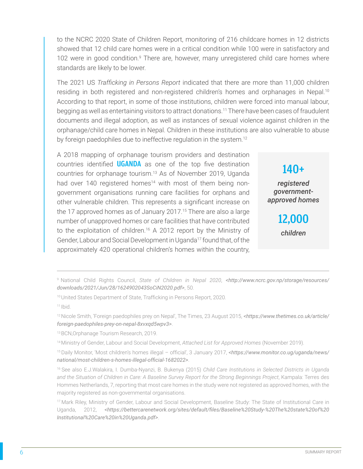to the NCRC 2020 State of Children Report, monitoring of 216 childcare homes in 12 districts showed that 12 child care homes were in a critical condition while 100 were in satisfactory and 102 were in good condition.<sup>9</sup> There are, however, many unregistered child care homes where standards are likely to be lower.

The 2021 US *Trafficking in Persons Report* indicated that there are more than 11,000 children residing in both registered and non-registered children's homes and orphanages in Nepal.<sup>10</sup> According to that report, in some of those institutions, children were forced into manual labour, begging as well as entertaining visitors to attract donations.11 There have been cases of fraudulent documents and illegal adoption, as well as instances of sexual violence against children in the orphanage/child care homes in Nepal. Children in these institutions are also vulnerable to abuse by foreign paedophiles due to ineffective regulation in the system.<sup>12</sup>

A 2018 mapping of orphanage tourism providers and destination countries identified **UGANDA** as one of the top five destination countries for orphanage tourism.<sup>13</sup> As of November 2019, Uganda had over 140 registered homes<sup>14</sup> with most of them being nongovernment organisations running care facilities for orphans and other vulnerable children. This represents a significant increase on the 17 approved homes as of January 2017.<sup>15</sup> There are also a large number of unapproved homes or care facilities that have contributed to the exploitation of children.<sup>16</sup> A 2012 report by the Ministry of Gender, Labour and Social Development in Uganda<sup>17</sup> found that, of the approximately 420 operational children's homes within the country,

140+ *registered governmentapproved homes*

> 12,000 *children*

9 National Child Rights Council, *State of Children in Nepal 2020*, *[<http://www.ncrc.gov.np/storage/resources/](http://www.ncrc.gov.np/storage/resources/downloads/2021/Jun/28/1624902043SoCiN2020.pdf) [downloads/2021/Jun/28/1624902043SoCiN2020.pdf>](http://www.ncrc.gov.np/storage/resources/downloads/2021/Jun/28/1624902043SoCiN2020.pdf)*, 50.

 $11$  Ibid.

13 BCN,Orphanage Tourism Research, 2019.

14 Ministry of Gender, Labour and Social Development, *Attached List for Approved Homes* (November 2019).

15 Daily Monitor, 'Most children's homes illegal – official', 3 January 2017, *[<https://www.monitor.co.ug/uganda/news/](https://www.monitor.co.ug/uganda/news/national/most-children-s-homes-illegal-official-1682022) [national/most-children-s-homes-illegal-official-1682022](https://www.monitor.co.ug/uganda/news/national/most-children-s-homes-illegal-official-1682022)>*.

16 See also E.J.Walakira, I. Dumba-Nyanzi, B. Bukenya (2015) *Child Care Institutions in Selected Districts in Uganda and the Situation of Children in Care: A Baseline Survey Report for the Strong Beginnings Project*, Kampala: Terres des Hommes Netherlands, 7, reporting that most care homes in the study were not registered as approved homes, with the majority registered as non-governmental organisations.

17 Mark Riley, Ministry of Gender, Labour and Social Development, Baseline Study: The State of Institutional Care in Uganda, 2012, *<[https://bettercarenetwork.org/sites/default/files/Baseline%20Study-%20The%20state%20of%20](https://bettercarenetwork.org/sites/default/files/Baseline%20Study-%20The%20state%20of%20Institutional%20Care%20in%20Uganda.pdf) [Institutional%20Care%20in%20Uganda.pdf](https://bettercarenetwork.org/sites/default/files/Baseline%20Study-%20The%20state%20of%20Institutional%20Care%20in%20Uganda.pdf)>*.

<sup>10</sup> United States Department of State, Trafficking in Persons Report, 2020.

<sup>12</sup> Nicole Smith, 'Foreign paedophiles prey on Nepal', The Times, 23 August 2015, *[<https://www.thetimes.co.uk/article/](https://www.thetimes.co.uk/article/foreign-paedophiles-prey-on-nepal-8xvxqd5wpv3) [foreign-paedophiles-prey-on-nepal-8xvxqd5wpv3](https://www.thetimes.co.uk/article/foreign-paedophiles-prey-on-nepal-8xvxqd5wpv3)>*.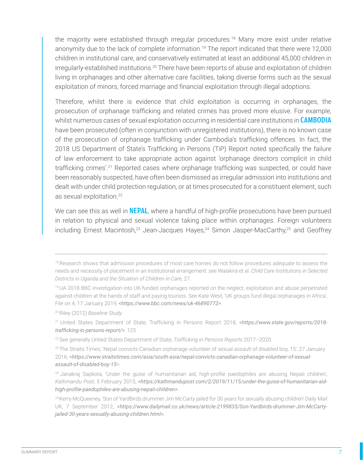the majority were established through irregular procedures.<sup>18</sup> Many more exist under relative anonymity due to the lack of complete information.<sup>19</sup> The report indicated that there were 12,000 children in institutional care, and conservatively estimated at least an additional 45,000 children in irregularly-established institutions.<sup>20</sup> There have been reports of abuse and exploitation of children living in orphanages and other alternative care facilities, taking diverse forms such as the sexual exploitation of minors, forced marriage and financial exploitation through illegal adoptions.

Therefore, whilst there is evidence that child exploitation is occurring in orphanages, the prosecution of orphanage trafficking and related crimes has proved more elusive. For example, whilst numerous cases of sexual exploitation occurring in residential care institutions in **CAMBODIA** have been prosecuted (often in conjunction with unregistered institutions), there is no known case of the prosecution of orphanage trafficking under Cambodia's trafficking offences. In fact, the 2018 US Department of State's Trafficking in Persons (TiP) Report noted specifically the failure of law enforcement to take appropriate action against 'orphanage directors complicit in child trafficking crimes'.<sup>21</sup> Reported cases where orphanage trafficking was suspected, or could have been reasonably suspected, have often been dismissed as irregular admission into institutions and dealt with under child protection regulation, or at times prosecuted for a constituent element, such as sexual exploitation.<sup>22</sup>

We can see this as well in **NEPAL**, where a handful of high-profile prosecutions have been pursued in relation to physical and sexual violence taking place within orphanages. Foreign volunteers including Ernest Macintosh,<sup>23</sup> Jean-Jacques Hayes,<sup>24</sup> Simon Jasper-MacCarthy,<sup>25</sup> and Geoffrey

<sup>&</sup>lt;sup>18</sup> Research shows that admission procedures of most care homes do not follow procedures adequate to assess the needs and necessity of placement in an institutional arrangement: see Walakira et al. *Child Care Institutions in Selected Districts in Uganda and the Situation of Children in Care*, 27.

<sup>19</sup> UA 2018 BBC investigation into UK-funded orphanages reported on the neglect, exploitation and abuse perpetrated against children at the hands of staff and paying tourists. See Kate West, 'UK groups fund illegal orphanages in Africa', File on 4, 17 January 2019, *[<https://www.bbc.com/news/uk-46890772>](https://www.bbc.com/news/uk-46890772)*.

<sup>20</sup>Riley (2012) *Baseline Study*.

<sup>21</sup> United States Department of State, Trafficking in Persons Report 2018, *[<https://www.state.gov/reports/2018](https://www.state.gov/reports/2018-trafficking-in-persons-report/) [trafficking-in-persons-report/](https://www.state.gov/reports/2018-trafficking-in-persons-report/)>*, 125.

<sup>22</sup>See generally United States Department of State, *Trafficking in Persons Reports* 2017–2020.

<sup>&</sup>lt;sup>23</sup> The Straits Times, 'Nepal convicts Canadian orphanage volunteer of sexual assault of disabled boy, 15', 27 January 2016, *[<https://www.straitstimes.com/asia/south-asia/nepal-convicts-canadian-orphanage-volunteer-of-sexual](https://www.straitstimes.com/asia/south-asia/nepal-convicts-canadian-orphanage-volunteer-of-sexual-assault-of-disabled-boy-15)[assault-of-disabled-boy-15](https://www.straitstimes.com/asia/south-asia/nepal-convicts-canadian-orphanage-volunteer-of-sexual-assault-of-disabled-boy-15)*>.

<sup>&</sup>lt;sup>24</sup> Janakraj Sapkota, 'Under the guise of humanitarian aid, high-profile paedophiles are abusing Nepali children', *Kathmandu Post*, 5 February 2015, *[<https://kathmandupost.com/2/2019/11/15/under-the-guise-of-humanitarian-aid](https://kathmandupost.com/2/2019/11/15/under-the-guise-of-humanitarian-aid-high-profile-paedophiles-are-abusing-nepali-children)[high-profile-paedophiles-are-abusing-nepali-children](https://kathmandupost.com/2/2019/11/15/under-the-guise-of-humanitarian-aid-high-profile-paedophiles-are-abusing-nepali-children)>*.

<sup>&</sup>lt;sup>25</sup> Kerry McQueeney, 'Son of YardBirds drummer Jim McCarty jailed for 30 years for sexually abusing children' Daily Mail UK, 7 September 2012, *[<https://www.dailymail.co.uk/news/article-2199835/Son-Yardbirds-drummer-Jim-McCarty](https://www.dailymail.co.uk/news/article-2199835/Son-Yardbirds-drummer-Jim-McCarty-jailed-30-years-sexually-abusing-children.html)[jailed-30-years-sexually-abusing-children.html](https://www.dailymail.co.uk/news/article-2199835/Son-Yardbirds-drummer-Jim-McCarty-jailed-30-years-sexually-abusing-children.html)>.*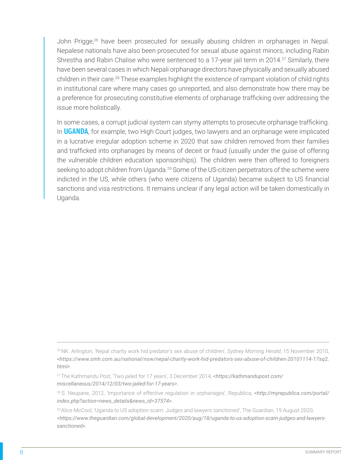John Prigge,<sup>26</sup> have been prosecuted for sexually abusing children in orphanages in Nepal. Nepalese nationals have also been prosecuted for sexual abuse against minors, including Rabin Shrestha and Rabin Chalise who were sentenced to a 17-year jail term in 2014.<sup>27</sup> Similarly, there have been several cases in which Nepali orphanage directors have physically and sexually abused children in their care.<sup>28</sup> These examples highlight the existence of rampant violation of child rights in institutional care where many cases go unreported, and also demonstrate how there may be a preference for prosecuting constitutive elements of orphanage trafficking over addressing the issue more holistically.

In some cases, a corrupt judicial system can stymy attempts to prosecute orphanage trafficking. In **UGANDA**, for example, two High Court judges, two lawyers and an orphanage were implicated in a lucrative irregular adoption scheme in 2020 that saw children removed from their families and trafficked into orphanages by means of deceit or fraud (usually under the guise of offering the vulnerable children education sponsorships). The children were then offered to foreigners seeking to adopt children from Uganda.<sup>29</sup> Some of the US-citizen perpetrators of the scheme were indicted in the US, while others (who were citizens of Uganda) became subject to US financial sanctions and visa restrictions. It remains unclear if any legal action will be taken domestically in Uganda.

<sup>&</sup>lt;sup>26</sup> NK. Arlington, 'Nepal charity work hid predator's sex abuse of children', *Sydney Morning Herald*, 15 November 2010, *<[https://www.smh.com.au/national/nsw/nepal-charity-work-hid-predators-sex-abuse-of-children-20101114-17sq2.](https://www.smh.com.au/national/nsw/nepal-charity-work-hid-predators-sex-abuse-of-children-20101114-17sq2.html) [html>](https://www.smh.com.au/national/nsw/nepal-charity-work-hid-predators-sex-abuse-of-children-20101114-17sq2.html)*.

<sup>27</sup>The Kathmandu Post, 'Two jailed for 17 years', 3 December 2014, *[<https://kathmandupost.com/](https://kathmandupost.com/miscellaneous/2014/12/03/two-jailed-for-17-years) [miscellaneous/2014/12/03/two-jailed-for-17-years](https://kathmandupost.com/miscellaneous/2014/12/03/two-jailed-for-17-years)>.*

<sup>28</sup> S. Neupane, 2012, 'Importance of effective regulation in orphanages', Republica, *[<http://myrepublica.com/portal/](http://myrepublica.com/portal/ index.php?action=news_details&news_id=37574) [index.php?action=news\\_details&news\\_id=37574](http://myrepublica.com/portal/ index.php?action=news_details&news_id=37574)>.*

<sup>&</sup>lt;sup>29</sup> Alice McCool, 'Uganda to US adoption scam: Judges and lawyers sanctioned', The Guardian, 19 August 2020, *<[https://www.theguardian.com/global-development/2020/aug/18/uganda-to-us-adoption-scam-judges-and-lawyers](https://www.theguardian.com/global-development/2020/aug/18/uganda-to-us-adoption-scam-judges-and-lawyers-sanctioned)[sanctioned](https://www.theguardian.com/global-development/2020/aug/18/uganda-to-us-adoption-scam-judges-and-lawyers-sanctioned)>*.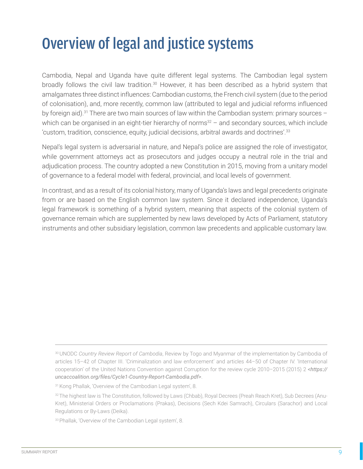## Overview of legal and justice systems

Cambodia, Nepal and Uganda have quite different legal systems. The Cambodian legal system broadly follows the civil law tradition.<sup>30</sup> However, it has been described as a hybrid system that amalgamates three distinct influences: Cambodian customs, the French civil system (due to the period of colonisation), and, more recently, common law (attributed to legal and judicial reforms influenced by foreign aid).<sup>31</sup> There are two main sources of law within the Cambodian system: primary sources  $$ which can be organised in an eight-tier hierarchy of norms $32 -$  and secondary sources, which include 'custom, tradition, conscience, equity, judicial decisions, arbitral awards and doctrines'.<sup>33</sup>

Nepal's legal system is adversarial in nature, and Nepal's police are assigned the role of investigator, while government attorneys act as prosecutors and judges occupy a neutral role in the trial and adjudication process. The country adopted a new Constitution in 2015, moving from a unitary model of governance to a federal model with federal, provincial, and local levels of government.

In contrast, and as a result of its colonial history, many of Uganda's laws and legal precedents originate from or are based on the English common law system. Since it declared independence, Uganda's legal framework is something of a hybrid system, meaning that aspects of the colonial system of governance remain which are supplemented by new laws developed by Acts of Parliament, statutory instruments and other subsidiary legislation, common law precedents and applicable customary law.

<sup>30</sup>UNODC *Country Review Report of Cambodia*, Review by Togo and Myanmar of the implementation by Cambodia of articles 15–42 of Chapter III. 'Criminalization and law enforcement' and articles 44–50 of Chapter IV. 'International cooperation' of the United Nations Convention against Corruption for the review cycle 2010–2015 (2015) 2 *<[https://](https://uncaccoalition.org/files/Cycle1-Country-Report-Cambodia.pdf) [uncaccoalition.org/files/Cycle1-Country-Report-Cambodia.pdf](https://uncaccoalition.org/files/Cycle1-Country-Report-Cambodia.pdf)>*.

<sup>31</sup> Kong Phallak, 'Overview of the Cambodian Legal system', 8.

<sup>32</sup> The highest law is The Constitution, followed by Laws (Chbab), Royal Decrees (Preah Reach Kret), Sub Decrees (Anu-Kret), Ministerial Orders or Proclamations (Prakas), Decisions (Sech Kdei Samrach), Circulars (Sarachor) and Local Regulations or By-Laws (Deika).

<sup>33</sup> Phallak, 'Overview of the Cambodian Legal system', 8.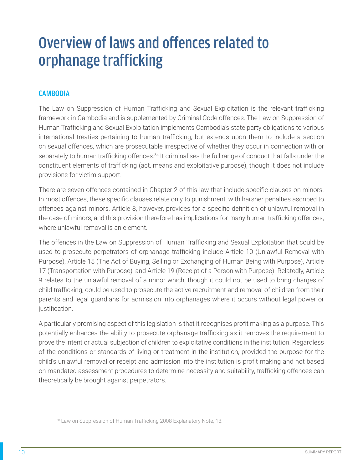### Overview of laws and offences related to orphanage trafficking

#### **CAMBODIA**

The Law on Suppression of Human Trafficking and Sexual Exploitation is the relevant trafficking framework in Cambodia and is supplemented by Criminal Code offences. The Law on Suppression of Human Trafficking and Sexual Exploitation implements Cambodia's state party obligations to various international treaties pertaining to human trafficking, but extends upon them to include a section on sexual offences, which are prosecutable irrespective of whether they occur in connection with or separately to human trafficking offences.<sup>34</sup> It criminalises the full range of conduct that falls under the constituent elements of trafficking (act, means and exploitative purpose), though it does not include provisions for victim support.

There are seven offences contained in Chapter 2 of this law that include specific clauses on minors. In most offences, these specific clauses relate only to punishment, with harsher penalties ascribed to offences against minors. Article 8, however, provides for a specific definition of unlawful removal in the case of minors, and this provision therefore has implications for many human trafficking offences, where unlawful removal is an element.

The offences in the Law on Suppression of Human Trafficking and Sexual Exploitation that could be used to prosecute perpetrators of orphanage trafficking include Article 10 (Unlawful Removal with Purpose), Article 15 (The Act of Buying, Selling or Exchanging of Human Being with Purpose), Article 17 (Transportation with Purpose), and Article 19 (Receipt of a Person with Purpose). Relatedly, Article 9 relates to the unlawful removal of a minor which, though it could not be used to bring charges of child trafficking, could be used to prosecute the active recruitment and removal of children from their parents and legal guardians for admission into orphanages where it occurs without legal power or justification.

A particularly promising aspect of this legislation is that it recognises profit making as a purpose. This potentially enhances the ability to prosecute orphanage trafficking as it removes the requirement to prove the intent or actual subjection of children to exploitative conditions in the institution. Regardless of the conditions or standards of living or treatment in the institution, provided the purpose for the child's unlawful removal or receipt and admission into the institution is profit making and not based on mandated assessment procedures to determine necessity and suitability, trafficking offences can theoretically be brought against perpetrators.

<sup>&</sup>lt;sup>34</sup> Law on Suppression of Human Trafficking 2008 Explanatory Note, 13.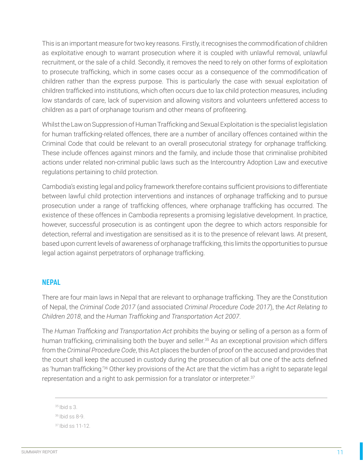This is an important measure for two key reasons. Firstly, it recognises the commodification of children as exploitative enough to warrant prosecution where it is coupled with unlawful removal, unlawful recruitment, or the sale of a child. Secondly, it removes the need to rely on other forms of exploitation to prosecute trafficking, which in some cases occur as a consequence of the commodification of children rather than the express purpose. This is particularly the case with sexual exploitation of children trafficked into institutions, which often occurs due to lax child protection measures, including low standards of care, lack of supervision and allowing visitors and volunteers unfettered access to children as a part of orphanage tourism and other means of profiteering.

Whilst the Law on Suppression of Human Trafficking and Sexual Exploitation is the specialist legislation for human trafficking-related offences, there are a number of ancillary offences contained within the Criminal Code that could be relevant to an overall prosecutorial strategy for orphanage trafficking. These include offences against minors and the family, and include those that criminalise prohibited actions under related non-criminal public laws such as the Intercountry Adoption Law and executive regulations pertaining to child protection.

Cambodia's existing legal and policy framework therefore contains sufficient provisions to differentiate between lawful child protection interventions and instances of orphanage trafficking and to pursue prosecution under a range of trafficking offences, where orphanage trafficking has occurred. The existence of these offences in Cambodia represents a promising legislative development. In practice, however, successful prosecution is as contingent upon the degree to which actors responsible for detection, referral and investigation are sensitised as it is to the presence of relevant laws. At present, based upon current levels of awareness of orphanage trafficking, this limits the opportunities to pursue legal action against perpetrators of orphanage trafficking.

#### NEPAL

There are four main laws in Nepal that are relevant to orphanage trafficking. They are the Constitution of Nepal, the *Criminal Code 2017* (and associated *Criminal Procedure Code 2017*), the *Act Relating to Children 2018*, and the *Human Trafficking and Transportation Act 2007*.

The *Human Trafficking and Transportation Act* prohibits the buying or selling of a person as a form of human trafficking, criminalising both the buyer and seller.<sup>35</sup> As an exceptional provision which differs from the *Criminal Procedure Code*, this Act places the burden of proof on the accused and provides that the court shall keep the accused in custody during the prosecution of all but one of the acts defined as 'human trafficking.<sup>'36</sup> Other key provisions of the Act are that the victim has a right to separate legal representation and a right to ask permission for a translator or interpreter.<sup>37</sup>

 $35$  Ibid s 3.

<sup>36</sup>Ibid ss 8-9.

```
37 Ibid ss 11-12.
```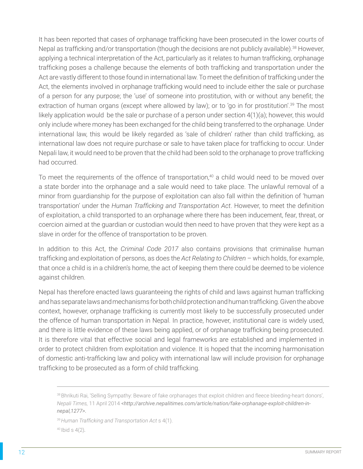It has been reported that cases of orphanage trafficking have been prosecuted in the lower courts of Nepal as trafficking and/or transportation (though the decisions are not publicly available).<sup>38</sup> However, applying a technical interpretation of the Act, particularly as it relates to human trafficking, orphanage trafficking poses a challenge because the elements of both trafficking and transportation under the Act are vastly different to those found in international law. To meet the definition of trafficking under the Act, the elements involved in orphanage trafficking would need to include either the sale or purchase of a person for any purpose; the 'use' of someone into prostitution, with or without any benefit; the extraction of human organs (except where allowed by law); or to 'go in for prostitution'.<sup>39</sup> The most likely application would be the sale or purchase of a person under section 4(1)(a); however, this would only include where money has been exchanged for the child being transferred to the orphanage. Under international law, this would be likely regarded as 'sale of children' rather than child trafficking, as international law does not require purchase or sale to have taken place for trafficking to occur. Under Nepali law, it would need to be proven that the child had been sold to the orphanage to prove trafficking had occurred.

To meet the requirements of the offence of transportation,<sup>40</sup> a child would need to be moved over a state border into the orphanage and a sale would need to take place. The unlawful removal of a minor from guardianship for the purpose of exploitation can also fall within the definition of 'human transportation' under the *Human Trafficking and Transportation Act*. However, to meet the definition of exploitation, a child transported to an orphanage where there has been inducement, fear, threat, or coercion aimed at the guardian or custodian would then need to have proven that they were kept as a slave in order for the offence of transportation to be proven.

In addition to this Act, the *Criminal Code 2017* also contains provisions that criminalise human trafficking and exploitation of persons, as does the *Act Relating to Children* – which holds, for example, that once a child is in a children's home, the act of keeping them there could be deemed to be violence against children.

Nepal has therefore enacted laws guaranteeing the rights of child and laws against human trafficking and has separate laws and mechanisms for both child protection and human trafficking. Given the above context, however, orphanage trafficking is currently most likely to be successfully prosecuted under the offence of human transportation in Nepal. In practice, however, institutional care is widely used, and there is little evidence of these laws being applied, or of orphanage trafficking being prosecuted. It is therefore vital that effective social and legal frameworks are established and implemented in order to protect children from exploitation and violence. It is hoped that the incoming harmonisation of domestic anti-trafficking law and policy with international law will include provision for orphanage trafficking to be prosecuted as a form of child trafficking.

<sup>38</sup> Bhrikuti Rai, 'Selling Sympathy: Beware of fake orphanages that exploit children and fleece bleeding-heart donors', *Nepali Times,* 11 April 2014 *[<http://archive.nepalitimes.com/article/nation/fake-orphanage-exploit-children-in](http://archive.nepalitimes.com/article/nation/fake-orphanage-exploit-children-in-nepal,1277)[nepal,1277](http://archive.nepalitimes.com/article/nation/fake-orphanage-exploit-children-in-nepal,1277)>.*

<sup>39</sup>*Human Trafficking and Transportation Act* s 4(1).

<sup>40</sup> Ibid s 4(2)*.*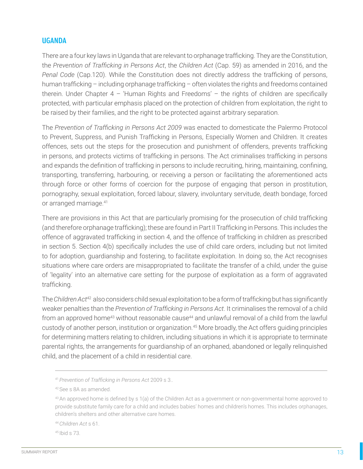#### UGANDA

There are a four key laws in Uganda that are relevant to orphanage trafficking. They are the Constitution, the *Prevention of Trafficking in Persons Act*, the *Children Act* (Cap. 59) as amended in 2016, and the *Penal Code* (Cap.120). While the Constitution does not directly address the trafficking of persons, human trafficking – including orphanage trafficking – often violates the rights and freedoms contained therein. Under Chapter  $4$  - 'Human Rights and Freedoms' - the rights of children are specifically protected, with particular emphasis placed on the protection of children from exploitation, the right to be raised by their families, and the right to be protected against arbitrary separation.

The *Prevention of Trafficking in Persons Act 2009* was enacted to domesticate the Palermo Protocol to Prevent, Suppress, and Punish Trafficking in Persons, Especially Women and Children. It creates offences, sets out the steps for the prosecution and punishment of offenders, prevents trafficking in persons, and protects victims of trafficking in persons. The Act criminalises trafficking in persons and expands the definition of trafficking in persons to include recruiting, hiring, maintaining, confining, transporting, transferring, harbouring, or receiving a person or facilitating the aforementioned acts through force or other forms of coercion for the purpose of engaging that person in prostitution, pornography, sexual exploitation, forced labour, slavery, involuntary servitude, death bondage, forced or arranged marriage.41

There are provisions in this Act that are particularly promising for the prosecution of child trafficking (and therefore orphanage trafficking); these are found in Part II Trafficking in Persons. This includes the offence of aggravated trafficking in section 4, and the offence of trafficking in children as prescribed in section 5. Section 4(b) specifically includes the use of child care orders, including but not limited to for adoption, guardianship and fostering, to facilitate exploitation. In doing so, the Act recognises situations where care orders are misappropriated to facilitate the transfer of a child, under the guise of 'legality' into an alternative care setting for the purpose of exploitation as a form of aggravated trafficking.

The *Children Act*<sup>42</sup> also considers child sexual exploitation to be a form of trafficking but has significantly weaker penalties than the *Prevention of Trafficking in Persons Act*. It criminalises the removal of a child from an approved home<sup>43</sup> without reasonable cause<sup>44</sup> and unlawful removal of a child from the lawful custody of another person, institution or organization.<sup>45</sup> More broadly, the Act offers guiding principles for determining matters relating to children, including situations in which it is appropriate to terminate parental rights, the arrangements for guardianship of an orphaned, abandoned or legally relinquished child, and the placement of a child in residential care.

<sup>44</sup>*Children Act* s 61.

45 Ibid s 73.

<sup>41</sup>*Prevention of Trafficking in Persons Act* 2009 s 3..

<sup>42</sup>See s 8A as amended.

<sup>&</sup>lt;sup>43</sup>An approved home is defined by s 1(a) of the Children Act as a government or non-governmental home approved to provide substitute family care for a child and includes babies' homes and children's homes. This includes orphanages, children's shelters and other alternative care homes.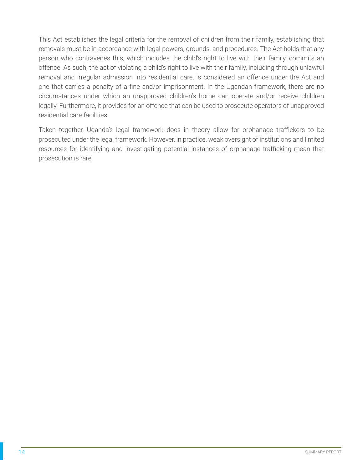This Act establishes the legal criteria for the removal of children from their family, establishing that removals must be in accordance with legal powers, grounds, and procedures. The Act holds that any person who contravenes this, which includes the child's right to live with their family, commits an offence. As such, the act of violating a child's right to live with their family, including through unlawful removal and irregular admission into residential care, is considered an offence under the Act and one that carries a penalty of a fine and/or imprisonment. In the Ugandan framework, there are no circumstances under which an unapproved children's home can operate and/or receive children legally. Furthermore, it provides for an offence that can be used to prosecute operators of unapproved residential care facilities.

Taken together, Uganda's legal framework does in theory allow for orphanage traffickers to be prosecuted under the legal framework. However, in practice, weak oversight of institutions and limited resources for identifying and investigating potential instances of orphanage trafficking mean that prosecution is rare.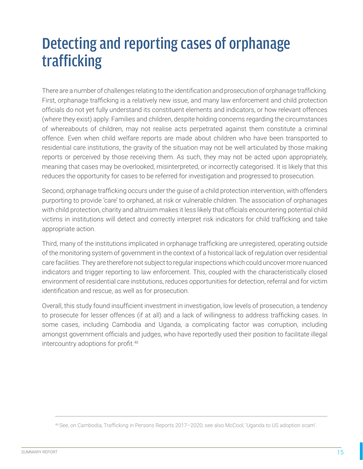### Detecting and reporting cases of orphanage trafficking

There are a number of challenges relating to the identification and prosecution of orphanage trafficking. First, orphanage trafficking is a relatively new issue, and many law enforcement and child protection officials do not yet fully understand its constituent elements and indicators, or how relevant offences (where they exist) apply. Families and children, despite holding concerns regarding the circumstances of whereabouts of children, may not realise acts perpetrated against them constitute a criminal offence. Even when child welfare reports are made about children who have been transported to residential care institutions, the gravity of the situation may not be well articulated by those making reports or perceived by those receiving them. As such, they may not be acted upon appropriately, meaning that cases may be overlooked, misinterpreted, or incorrectly categorised. It is likely that this reduces the opportunity for cases to be referred for investigation and progressed to prosecution.

Second, orphanage trafficking occurs under the guise of a child protection intervention, with offenders purporting to provide 'care' to orphaned, at risk or vulnerable children. The association of orphanages with child protection, charity and altruism makes it less likely that officials encountering potential child victims in institutions will detect and correctly interpret risk indicators for child trafficking and take appropriate action.

Third, many of the institutions implicated in orphanage trafficking are unregistered, operating outside of the monitoring system of government in the context of a historical lack of regulation over residential care facilities. They are therefore not subject to regular inspections which could uncover more nuanced indicators and trigger reporting to law enforcement. This, coupled with the characteristically closed environment of residential care institutions, reduces opportunities for detection, referral and for victim identification and rescue, as well as for prosecution.

Overall, this study found insufficient investment in investigation, low levels of prosecution, a tendency to prosecute for lesser offences (if at all) and a lack of willingness to address trafficking cases. In some cases, including Cambodia and Uganda, a complicating factor was corruption, including amongst government officials and judges, who have reportedly used their position to facilitate illegal intercountry adoptions for profit.<sup>46</sup>

<sup>46</sup> See, on Cambodia, Trafficking in Persons Reports 2017–2020; see also McCool, 'Uganda to US adoption scam'.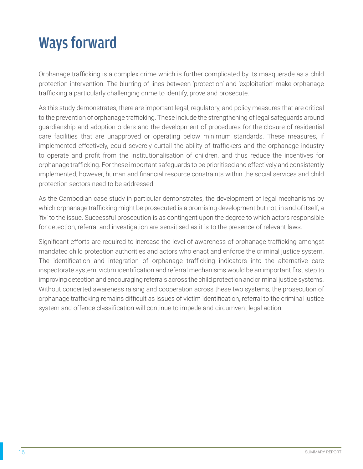### Ways forward

Orphanage trafficking is a complex crime which is further complicated by its masquerade as a child protection intervention. The blurring of lines between 'protection' and 'exploitation' make orphanage trafficking a particularly challenging crime to identify, prove and prosecute.

As this study demonstrates, there are important legal, regulatory, and policy measures that are critical to the prevention of orphanage trafficking. These include the strengthening of legal safeguards around guardianship and adoption orders and the development of procedures for the closure of residential care facilities that are unapproved or operating below minimum standards. These measures, if implemented effectively, could severely curtail the ability of traffickers and the orphanage industry to operate and profit from the institutionalisation of children, and thus reduce the incentives for orphanage trafficking. For these important safeguards to be prioritised and effectively and consistently implemented, however, human and financial resource constraints within the social services and child protection sectors need to be addressed.

As the Cambodian case study in particular demonstrates, the development of legal mechanisms by which orphanage trafficking might be prosecuted is a promising development but not, in and of itself, a 'fix' to the issue. Successful prosecution is as contingent upon the degree to which actors responsible for detection, referral and investigation are sensitised as it is to the presence of relevant laws.

Significant efforts are required to increase the level of awareness of orphanage trafficking amongst mandated child protection authorities and actors who enact and enforce the criminal justice system. The identification and integration of orphanage trafficking indicators into the alternative care inspectorate system, victim identification and referral mechanisms would be an important first step to improving detection and encouraging referrals across the child protection and criminal justice systems. Without concerted awareness raising and cooperation across these two systems, the prosecution of orphanage trafficking remains difficult as issues of victim identification, referral to the criminal justice system and offence classification will continue to impede and circumvent legal action.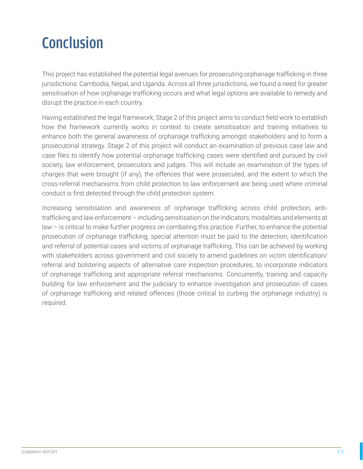## Conclusion

This project has established the potential legal avenues for prosecuting orphanage trafficking in three jurisdictions: Cambodia, Nepal, and Uganda. Across all three jurisdictions, we found a need for greater sensitisation of how orphanage trafficking occurs and what legal options are available to remedy and disrupt the practice in each country.

Having established the legal framework, Stage 2 of this project aims to conduct field work to establish how the framework currently works in context to create sensitisation and training initiatives to enhance both the general awareness of orphanage trafficking amongst stakeholders and to form a prosecutorial strategy. Stage 2 of this project will conduct an examination of previous case law and case files to identify how potential orphanage trafficking cases were identified and pursued by civil society, law enforcement, prosecutors and judges. This will include an examination of the types of charges that were brought (if any), the offences that were prosecuted, and the extent to which the cross-referral mechanisms from child protection to law enforcement are being used where criminal conduct is first detected through the child protection system.

Increasing sensitisation and awareness of orphanage trafficking across child protection, antitrafficking and law enforcement – including sensitisation on the indicators, modalities and elements at law – is critical to make further progress on combating this practice. Further, to enhance the potential prosecution of orphanage trafficking, special attention must be paid to the detection, identification and referral of potential cases and victims of orphanage trafficking. This can be achieved by working with stakeholders across government and civil society to amend guidelines on victim identification/ referral and bolstering aspects of alternative care inspection procedures, to incorporate indicators of orphanage trafficking and appropriate referral mechanisms. Concurrently, training and capacity building for law enforcement and the judiciary to enhance investigation and prosecution of cases of orphanage trafficking and related offences (those critical to curbing the orphanage industry) is required.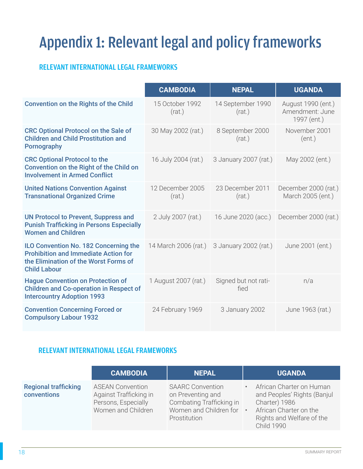# Appendix 1: Relevant legal and policy frameworks

### RELEVANT INTERNATIONAL LEGAL FRAMEWORKS

|                                                                                                                                                      | <b>CAMBODIA</b>            | <b>NEPAL</b>                 | <b>UGANDA</b>                                        |
|------------------------------------------------------------------------------------------------------------------------------------------------------|----------------------------|------------------------------|------------------------------------------------------|
| <b>Convention on the Rights of the Child</b>                                                                                                         | 15 October 1992<br>(rat.)  | 14 September 1990<br>(rat.)  | August 1990 (ent.)<br>Amendment: June<br>1997 (ent.) |
| <b>CRC Optional Protocol on the Sale of</b><br><b>Children and Child Prostitution and</b><br><b>Pornography</b>                                      | 30 May 2002 (rat.)         | 8 September 2000<br>(rat.)   | November 2001<br>(ent.)                              |
| <b>CRC Optional Protocol to the</b><br>Convention on the Right of the Child on<br><b>Involvement in Armed Conflict</b>                               | 16 July 2004 (rat.)        | 3 January 2007 (rat.)        | May 2002 (ent.)                                      |
| <b>United Nations Convention Against</b><br><b>Transnational Organized Crime</b>                                                                     | 12 December 2005<br>(rat.) | 23 December 2011<br>(rat.)   | December 2000 (rat.)<br>March 2005 (ent.)            |
| <b>UN Protocol to Prevent, Suppress and</b><br><b>Punish Trafficking in Persons Especially</b><br><b>Women and Children</b>                          | 2 July 2007 (rat.)         | 16 June 2020 (acc.)          | December 2000 (rat.)                                 |
| ILO Convention No. 182 Concerning the<br><b>Prohibition and Immediate Action for</b><br>the Elimination of the Worst Forms of<br><b>Child Labour</b> | 14 March 2006 (rat.)       | 3 January 2002 (rat.)        | June 2001 (ent.)                                     |
| <b>Hague Convention on Protection of</b><br><b>Children and Co-operation in Respect of</b><br><b>Intercountry Adoption 1993</b>                      | 1 August 2007 (rat.)       | Signed but not rati-<br>fied | n/a                                                  |
| <b>Convention Concerning Forced or</b><br><b>Compulsory Labour 1932</b>                                                                              | 24 February 1969           | 3 January 2002               | June 1963 (rat.)                                     |

#### RELEVANT INTERNATIONAL LEGAL FRAMEWORKS

|                                            | <b>CAMBODIA</b>                                                                                | <b>NEPAL</b>                                                                                                         |           | <b>UGANDA</b>                                                                                                                                        |
|--------------------------------------------|------------------------------------------------------------------------------------------------|----------------------------------------------------------------------------------------------------------------------|-----------|------------------------------------------------------------------------------------------------------------------------------------------------------|
| <b>Regional trafficking</b><br>conventions | <b>ASEAN Convention</b><br>Against Trafficking in<br>Persons, Especially<br>Women and Children | <b>SAARC Convention</b><br>on Preventing and<br>Combating Trafficking in<br>Women and Children for •<br>Prostitution | $\bullet$ | African Charter on Human<br>and Peoples' Rights (Banjul<br>Charter) 1986<br>African Charter on the<br>Rights and Welfare of the<br><b>Child 1990</b> |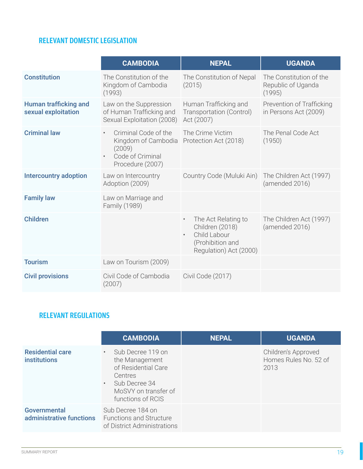#### RELEVANT DOMESTIC LEGISLATION

|                                                     | <b>CAMBODIA</b>                                                                                                         | <b>NEPAL</b>                                                                                                                   | <b>UGANDA</b>                                           |
|-----------------------------------------------------|-------------------------------------------------------------------------------------------------------------------------|--------------------------------------------------------------------------------------------------------------------------------|---------------------------------------------------------|
| <b>Constitution</b>                                 | The Constitution of the<br>Kingdom of Cambodia<br>(1993)                                                                | The Constitution of Nepal<br>(2015)                                                                                            | The Constitution of the<br>Republic of Uganda<br>(1995) |
| <b>Human trafficking and</b><br>sexual exploitation | Law on the Suppression<br>of Human Trafficking and<br>Sexual Exploitation (2008)                                        | Human Trafficking and<br>Transportation (Control)<br>Act (2007)                                                                | Prevention of Trafficking<br>in Persons Act (2009)      |
| <b>Criminal law</b>                                 | Criminal Code of the<br>$\bullet$<br>Kingdom of Cambodia<br>(2009)<br>Code of Criminal<br>$\bullet$<br>Procedure (2007) | The Crime Victim<br>Protection Act (2018)                                                                                      | The Penal Code Act<br>(1950)                            |
| <b>Intercountry adoption</b>                        | Law on Intercountry<br>Adoption (2009)                                                                                  | Country Code (Muluki Ain)                                                                                                      | The Children Act (1997)<br>(amended 2016)               |
| <b>Family law</b>                                   | Law on Marriage and<br>Family (1989)                                                                                    |                                                                                                                                |                                                         |
| <b>Children</b>                                     |                                                                                                                         | The Act Relating to<br>$\bullet$<br>Children (2018)<br>Child Labour<br>$\bullet$<br>(Prohibition and<br>Regulation) Act (2000) | The Children Act (1997)<br>(amended 2016)               |
| <b>Tourism</b>                                      | Law on Tourism (2009)                                                                                                   |                                                                                                                                |                                                         |
| <b>Civil provisions</b>                             | Civil Code of Cambodia<br>(2007)                                                                                        | Civil Code (2017)                                                                                                              |                                                         |

### RELEVANT REGULATIONS

|                                                | <b>CAMBODIA</b>                                                                                                                                    | <b>NEPAL</b> | <b>UGANDA</b>                                        |
|------------------------------------------------|----------------------------------------------------------------------------------------------------------------------------------------------------|--------------|------------------------------------------------------|
| <b>Residential care</b><br><b>institutions</b> | Sub Decree 119 on<br>$\bullet$<br>the Management<br>of Residential Care<br>Centres<br>· Sub Decree 34<br>MoSVY on transfer of<br>functions of RCIS |              | Children's Approved<br>Homes Rules No. 52 of<br>2013 |
| Governmental<br>administrative functions       | Sub Decree 184 on<br><b>Functions and Structure</b><br>of District Administrations                                                                 |              |                                                      |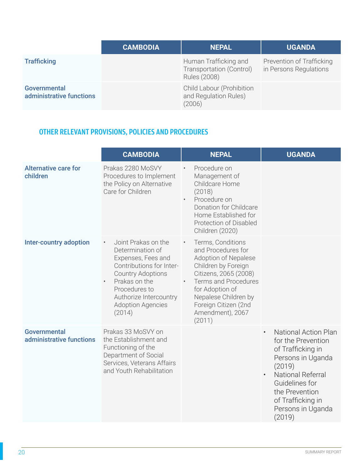|                                                 | <b>CAMBODIA</b> | <b>NEPAL</b>                                                        | <b>UGANDA</b>                                       |
|-------------------------------------------------|-----------------|---------------------------------------------------------------------|-----------------------------------------------------|
| <b>Trafficking</b>                              |                 | Human Trafficking and<br>Transportation (Control)<br>Rules (2008)   | Prevention of Trafficking<br>in Persons Regulations |
| <b>Governmental</b><br>administrative functions |                 | <b>Child Labour (Prohibition</b><br>and Regulation Rules)<br>(2006) |                                                     |

### OTHER RELEVANT PROVISIONS, POLICIES AND PROCEDURES

|                                                 | <b>CAMBODIA</b>                                                                                                                                                                                                                                   | <b>NEPAL</b>                                                                                                                                                                                                                                                              | <b>UGANDA</b>                                                                                                                                                                                                      |
|-------------------------------------------------|---------------------------------------------------------------------------------------------------------------------------------------------------------------------------------------------------------------------------------------------------|---------------------------------------------------------------------------------------------------------------------------------------------------------------------------------------------------------------------------------------------------------------------------|--------------------------------------------------------------------------------------------------------------------------------------------------------------------------------------------------------------------|
| <b>Alternative care for</b><br>children         | Prakas 2280 MoSVY<br>Procedures to Implement<br>the Policy on Alternative<br>Care for Children                                                                                                                                                    | Procedure on<br>Management of<br>Childcare Home<br>(2018)<br>Procedure on<br>$\bullet$<br>Donation for Childcare<br>Home Established for<br>Protection of Disabled<br>Children (2020)                                                                                     |                                                                                                                                                                                                                    |
| <b>Inter-country adoption</b>                   | Joint Prakas on the<br>$\bullet$<br>Determination of<br>Expenses, Fees and<br>Contributions for Inter-<br><b>Country Adoptions</b><br>Prakas on the<br>$\bullet$<br>Procedures to<br>Authorize Intercountry<br><b>Adoption Agencies</b><br>(2014) | Terms, Conditions<br>$\bullet$<br>and Procedures for<br>Adoption of Nepalese<br>Children by Foreign<br>Citizens, 2065 (2008)<br><b>Terms and Procedures</b><br>$\bullet$<br>for Adoption of<br>Nepalese Children by<br>Foreign Citizen (2nd<br>Amendment), 2067<br>(2011) |                                                                                                                                                                                                                    |
| <b>Governmental</b><br>administrative functions | Prakas 33 MoSVY on<br>the Establishment and<br>Functioning of the<br>Department of Social<br>Services, Veterans Affairs<br>and Youth Rehabilitation                                                                                               |                                                                                                                                                                                                                                                                           | <b>National Action Plan</b><br>for the Prevention<br>of Trafficking in<br>Persons in Uganda<br>(2019)<br>National Referral<br>Guidelines for<br>the Prevention<br>of Trafficking in<br>Persons in Uganda<br>(2019) |